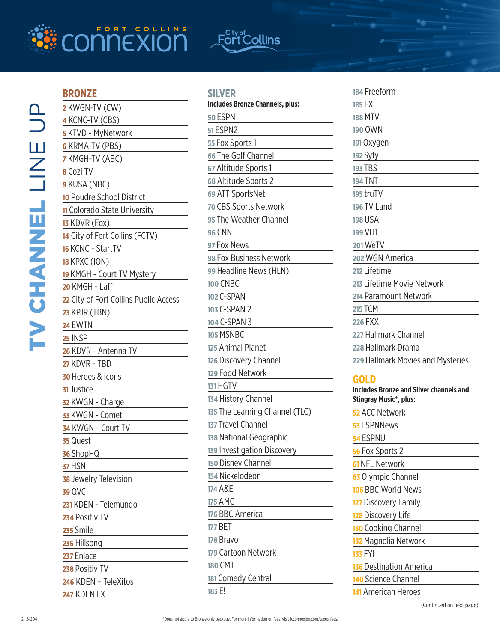

# F<sup>City of</sup> Collins

## **BRONZE**

| 2 KWGN-TV (CW)                        |
|---------------------------------------|
| 4 KCNC-TV (CBS)                       |
| 5 KTVD - MyNetwork                    |
| <b>6 KRMA-TV (PBS)</b>                |
| 7 KMGH-TV (ABC)                       |
| 8 Cozi TV                             |
| 9 KUSA (NBC)                          |
| 10 Poudre School District             |
| 11 Colorado State University          |
| 13 KDVR (Fox)                         |
| 14 City of Fort Collins (FCTV)        |
| 16 KCNC - StartTV                     |
| <b>18 KPXC (ION)</b>                  |
| 19 KMGH - Court TV Mystery            |
| 20 KMGH - Laff                        |
| 22 City of Fort Collins Public Access |
| 23 KPJR (TBN)                         |
| <b>24 EWTN</b>                        |
| 25 INSP                               |
| 26 KDVR - Antenna TV                  |
| <b>27 KDVR - TBD</b>                  |
| 30 Heroes & Icons                     |
| 31 Justice                            |
| 32 KWGN - Charge                      |
| 33 KWGN - Comet                       |
| 34 KWGN - Court TV                    |
| 35 Quest                              |
| 36 ShopHQ                             |
| <b>37 HSN</b>                         |
| 38 Jewelry Television                 |
| 39 QVC                                |
| 231 KDEN - Telemundo                  |
| 234 Positiv TV                        |
| 235 Smile                             |
| 236 Hillsong                          |
| 237 Enlace                            |
| 238 Positiv TV                        |
| 246 KDEN - TeleXitos                  |
| 247 KDEN LX                           |

| $\sim$ |  |  |  |  |
|--------|--|--|--|--|
|        |  |  |  |  |

| <b>Includes Bronze Channels, plus:</b> |
|----------------------------------------|
| 50 ESPN                                |
| 51 ESPN2                               |
| 55 Fox Sports 1                        |
| 66 The Golf Channel                    |
| 67 Altitude Sports 1                   |
| 68 Altitude Sports 2                   |
| 69 ATT SportsNet                       |
| 70 CBS Sports Network                  |
| 95 The Weather Channel                 |
| 96 CNN                                 |
| 97 Fox News                            |
| 98 Fox Business Network                |
| 99 Headline News (HLN)                 |
| 100 CNBC                               |
| 102 C-SPAN                             |
| 103 C-SPAN 2                           |
| 104 C-SPAN 3                           |
| 105 MSNBC                              |
| 125 Animal Planet                      |
| 126 Discovery Channel                  |
| 129 Food Network                       |
| 131 HGTV                               |
| 134 History Channel                    |
| 135 The Learning Channel (TLC)         |
| 137 Travel Channel                     |
| 138 National Geographic                |
| 139 Investigation Discovery            |
| 150 Disney Channel                     |
| 154 Nickelodeon                        |
| 174 A&E                                |
| 175 AMC                                |
| 176 BBC America                        |
| 177 BET                                |
| 178 Bravo                              |
| 179 Cartoon Network                    |
| 180 CMT                                |
| 181 Comedy Central                     |
| 183 E!                                 |
|                                        |

| 184 Freeform                                   |
|------------------------------------------------|
| 185 FX                                         |
| <b>188 MTV</b>                                 |
| 190 OWN                                        |
| 191 Oxygen                                     |
| 192 Syfy                                       |
| <b>193 TBS</b>                                 |
| <b>194 TNT</b>                                 |
| 195 truTV                                      |
| 196 TV Land                                    |
| <b>198 USA</b>                                 |
| 199 VH1                                        |
| 201 WeTV                                       |
| 202 WGN America                                |
| 212 Lifetime                                   |
| 213 Lifetime Movie Network                     |
| 214 Paramount Network                          |
| <b>215 TCM</b>                                 |
| <b>226 FXX</b>                                 |
| 227 Hallmark Channel                           |
| 228 Hallmark Drama                             |
| 229 Hallmark Movies and Mysteries              |
| GOLD                                           |
| <b>Includes Bronze and Silver channels and</b> |

| Includes Bronze and Silver channels and<br><b>Stingray Music*, plus:</b> |
|--------------------------------------------------------------------------|
| <mark>52</mark> ACC Network                                              |
| 53 ESPNNews                                                              |
| 54 ESPNU                                                                 |
| 56 Fox Sports 2                                                          |
| 61 NFL Network                                                           |
| 63 Olympic Channel                                                       |
| 106 BBC World News                                                       |
| 127 Discovery Family                                                     |
| <b>128</b> Discovery Life                                                |
| 130 Cooking Channel                                                      |
| 132 Magnolia Network                                                     |
| 133 FYI                                                                  |
| <b>136</b> Destination America                                           |
| 140 Science Channel                                                      |
| 141 American Heroes                                                      |
| (Continued on next page)                                                 |